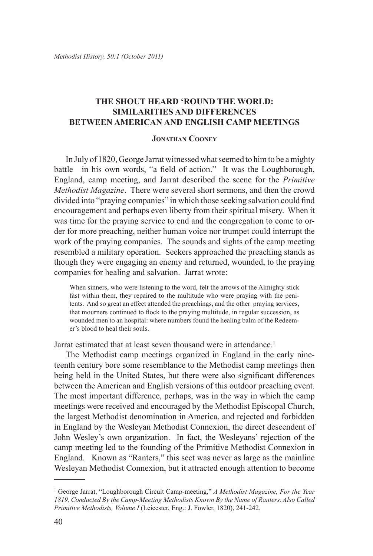## **The Shout Heard 'Round the World: Similarities and Differences Between American and English Camp Meetings**

## **Jonathan Cooney**

In July of 1820, George Jarrat witnessed what seemed to him to be a mighty battle—in his own words, "a field of action." It was the Loughborough, England, camp meeting, and Jarrat described the scene for the *Primitive Methodist Magazine*. There were several short sermons, and then the crowd divided into "praying companies" in which those seeking salvation could find encouragement and perhaps even liberty from their spiritual misery. When it was time for the praying service to end and the congregation to come to order for more preaching, neither human voice nor trumpet could interrupt the work of the praying companies. The sounds and sights of the camp meeting resembled a military operation. Seekers approached the preaching stands as though they were engaging an enemy and returned, wounded, to the praying companies for healing and salvation. Jarrat wrote:

When sinners, who were listening to the word, felt the arrows of the Almighty stick fast within them, they repaired to the multitude who were praying with the penitents. And so great an effect attended the preachings, and the other praying services, that mourners continued to flock to the praying multitude, in regular succession, as wounded men to an hospital: where numbers found the healing balm of the Redeemer's blood to heal their souls.

Jarrat estimated that at least seven thousand were in attendance.<sup>1</sup>

The Methodist camp meetings organized in England in the early nineteenth century bore some resemblance to the Methodist camp meetings then being held in the United States, but there were also significant differences between the American and English versions of this outdoor preaching event. The most important difference, perhaps, was in the way in which the camp meetings were received and encouraged by the Methodist Episcopal Church, the largest Methodist denomination in America, and rejected and forbidden in England by the Wesleyan Methodist Connexion, the direct descendent of John Wesley's own organization. In fact, the Wesleyans' rejection of the camp meeting led to the founding of the Primitive Methodist Connexion in England. Known as "Ranters," this sect was never as large as the mainline Wesleyan Methodist Connexion, but it attracted enough attention to become

<sup>1</sup> George Jarrat, "Loughborough Circuit Camp-meeting," *A Methodist Magazine, For the Year 1819, Conducted By the Camp-Meeting Methodists Known By the Name of Ranters, Also Called Primitive Methodists, Volume I* (Leicester, Eng.: J. Fowler, 1820), 241-242.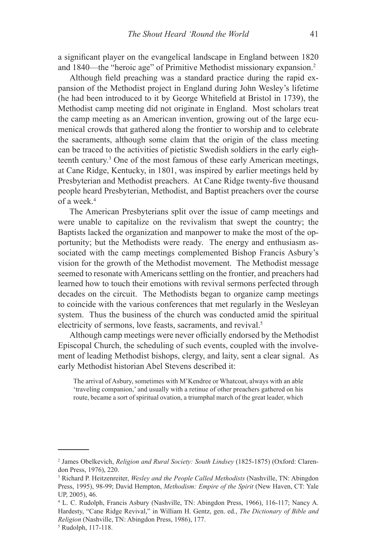a significant player on the evangelical landscape in England between 1820 and 1840—the "heroic age" of Primitive Methodist missionary expansion.2

Although field preaching was a standard practice during the rapid expansion of the Methodist project in England during John Wesley's lifetime (he had been introduced to it by George Whitefield at Bristol in 1739), the Methodist camp meeting did not originate in England. Most scholars treat the camp meeting as an American invention, growing out of the large ecumenical crowds that gathered along the frontier to worship and to celebrate the sacraments, although some claim that the origin of the class meeting can be traced to the activities of pietistic Swedish soldiers in the early eighteenth century.3 One of the most famous of these early American meetings, at Cane Ridge, Kentucky, in 1801, was inspired by earlier meetings held by Presbyterian and Methodist preachers. At Cane Ridge twenty-five thousand people heard Presbyterian, Methodist, and Baptist preachers over the course of a week.4

The American Presbyterians split over the issue of camp meetings and were unable to capitalize on the revivalism that swept the country; the Baptists lacked the organization and manpower to make the most of the opportunity; but the Methodists were ready. The energy and enthusiasm associated with the camp meetings complemented Bishop Francis Asbury's vision for the growth of the Methodist movement. The Methodist message seemed to resonate with Americans settling on the frontier, and preachers had learned how to touch their emotions with revival sermons perfected through decades on the circuit. The Methodists began to organize camp meetings to coincide with the various conferences that met regularly in the Wesleyan system. Thus the business of the church was conducted amid the spiritual electricity of sermons, love feasts, sacraments, and revival.<sup>5</sup>

Although camp meetings were never officially endorsed by the Methodist Episcopal Church, the scheduling of such events, coupled with the involvement of leading Methodist bishops, clergy, and laity, sent a clear signal. As early Methodist historian Abel Stevens described it:

The arrival of Asbury, sometimes with M'Kendree or Whatcoat, always with an able 'traveling companion,' and usually with a retinue of other preachers gathered on his route, became a sort of spiritual ovation, a triumphal march of the great leader, which

<sup>2</sup> James Obelkevich, *Religion and Rural Society: South Lindsey* (1825-1875) (Oxford: Clarendon Press, 1976), 220.

<sup>3</sup> Richard P. Heitzenreiter, *Wesley and the People Called Methodists* (Nashville, TN: Abingdon Press, 1995), 98-99; David Hempton, *Methodism: Empire of the Spirit* (New Haven, CT: Yale UP, 2005), 46.

<sup>4</sup> L. C. Rudolph, Francis Asbury (Nashville, TN: Abingdon Press, 1966), 116-117; Nancy A. Hardesty, "Cane Ridge Revival," in William H. Gentz, gen. ed., *The Dictionary of Bible and Religion* (Nashville, TN: Abingdon Press, 1986), 177.

<sup>5</sup> Rudolph, 117-118.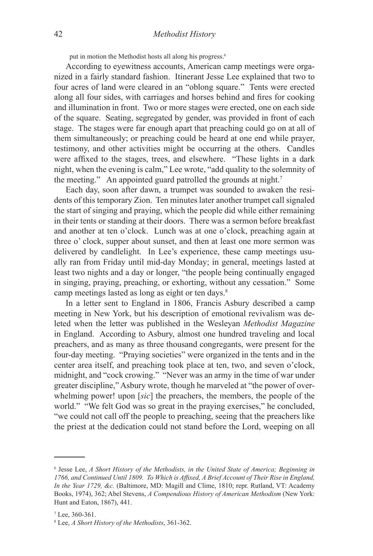put in motion the Methodist hosts all along his progress.<sup>6</sup>

According to eyewitness accounts, American camp meetings were organized in a fairly standard fashion. Itinerant Jesse Lee explained that two to four acres of land were cleared in an "oblong square." Tents were erected along all four sides, with carriages and horses behind and fires for cooking and illumination in front. Two or more stages were erected, one on each side of the square. Seating, segregated by gender, was provided in front of each stage. The stages were far enough apart that preaching could go on at all of them simultaneously; or preaching could be heard at one end while prayer, testimony, and other activities might be occurring at the others. Candles were affixed to the stages, trees, and elsewhere. "These lights in a dark night, when the evening is calm," Lee wrote, "add quality to the solemnity of the meeting." An appointed guard patrolled the grounds at night.<sup>7</sup>

Each day, soon after dawn, a trumpet was sounded to awaken the residents of this temporary Zion. Ten minutes later another trumpet call signaled the start of singing and praying, which the people did while either remaining in their tents or standing at their doors. There was a sermon before breakfast and another at ten o'clock. Lunch was at one o'clock, preaching again at three o' clock, supper about sunset, and then at least one more sermon was delivered by candlelight. In Lee's experience, these camp meetings usually ran from Friday until mid-day Monday; in general, meetings lasted at least two nights and a day or longer, "the people being continually engaged in singing, praying, preaching, or exhorting, without any cessation." Some camp meetings lasted as long as eight or ten days.<sup>8</sup>

In a letter sent to England in 1806, Francis Asbury described a camp meeting in New York, but his description of emotional revivalism was deleted when the letter was published in the Wesleyan *Methodist Magazine* in England. According to Asbury, almost one hundred traveling and local preachers, and as many as three thousand congregants, were present for the four-day meeting. "Praying societies" were organized in the tents and in the center area itself, and preaching took place at ten, two, and seven o'clock, midnight, and "cock crowing." "Never was an army in the time of war under greater discipline," Asbury wrote, though he marveled at "the power of overwhelming power! upon [*sic*] the preachers, the members, the people of the world." "We felt God was so great in the praying exercises," he concluded, "we could not call off the people to preaching, seeing that the preachers like the priest at the dedication could not stand before the Lord, weeping on all

<sup>6</sup> Jesse Lee, *A Short History of the Methodists, in the United State of America; Beginning in 1766, and Continued Until 1809. To Which is Affixed, A Brief Account of Their Rise in England, In the Year 1729, &c.* (Baltimore, MD: Magill and Clime, 1810; repr. Rutland, VT: Academy Books, 1974), 362; Abel Stevens, *A Compendious History of American Methodism* (New York: Hunt and Eaton, 1867), 441.

<sup>7</sup> Lee, 360-361.

<sup>8</sup> Lee, *A Short History of the Methodists*, 361-362.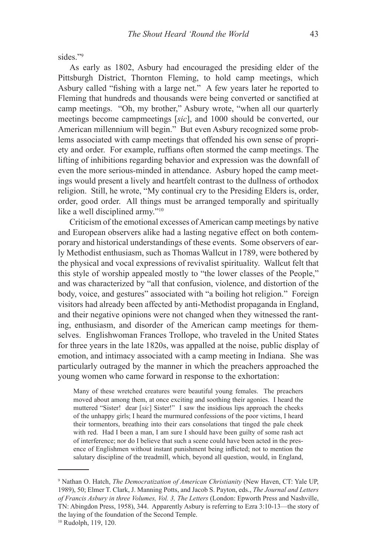sides<sup>"9</sup>

As early as 1802, Asbury had encouraged the presiding elder of the Pittsburgh District, Thornton Fleming, to hold camp meetings, which Asbury called "fishing with a large net." A few years later he reported to Fleming that hundreds and thousands were being converted or sanctified at camp meetings. "Oh, my brother," Asbury wrote, "when all our quarterly meetings become campmeetings [*sic*], and 1000 should be converted, our American millennium will begin." But even Asbury recognized some problems associated with camp meetings that offended his own sense of propriety and order. For example, ruffians often stormed the camp meetings. The lifting of inhibitions regarding behavior and expression was the downfall of even the more serious-minded in attendance. Asbury hoped the camp meetings would present a lively and heartfelt contrast to the dullness of orthodox religion. Still, he wrote, "My continual cry to the Presiding Elders is, order, order, good order. All things must be arranged temporally and spiritually like a well disciplined army."10

Criticism of the emotional excesses of American camp meetings by native and European observers alike had a lasting negative effect on both contemporary and historical understandings of these events. Some observers of early Methodist enthusiasm, such as Thomas Wallcut in 1789, were bothered by the physical and vocal expressions of revivalist spirituality. Wallcut felt that this style of worship appealed mostly to "the lower classes of the People," and was characterized by "all that confusion, violence, and distortion of the body, voice, and gestures" associated with "a boiling hot religion." Foreign visitors had already been affected by anti-Methodist propaganda in England, and their negative opinions were not changed when they witnessed the ranting, enthusiasm, and disorder of the American camp meetings for themselves. Englishwoman Frances Trollope, who traveled in the United States for three years in the late 1820s, was appalled at the noise, public display of emotion, and intimacy associated with a camp meeting in Indiana. She was particularly outraged by the manner in which the preachers approached the young women who came forward in response to the exhortation:

Many of these wretched creatures were beautiful young females. The preachers moved about among them, at once exciting and soothing their agonies. I heard the muttered "Sister! dear [*sic*] Sister!" I saw the insidious lips approach the cheeks of the unhappy girls; I heard the murmured confessions of the poor victims, I heard their tormentors, breathing into their ears consolations that tinged the pale cheek with red. Had I been a man, I am sure I should have been guilty of some rash act of interference; nor do I believe that such a scene could have been acted in the presence of Englishmen without instant punishment being inflicted; not to mention the salutary discipline of the treadmill, which, beyond all question, would, in England,

<sup>9</sup> Nathan O. Hatch, *The Democratization of American Christianity* (New Haven, CT: Yale UP, 1989), 50; Elmer T. Clark, J. Manning Potts, and Jacob S. Payton, eds., *The Journal and Letters of Francis Asbury in three Volumes, Vol. 3, The Letters* (London: Epworth Press and Nashville, TN: Abingdon Press, 1958), 344. Apparently Asbury is referring to Ezra 3:10-13—the story of the laying of the foundation of the Second Temple.

<sup>10</sup> Rudolph, 119, 120.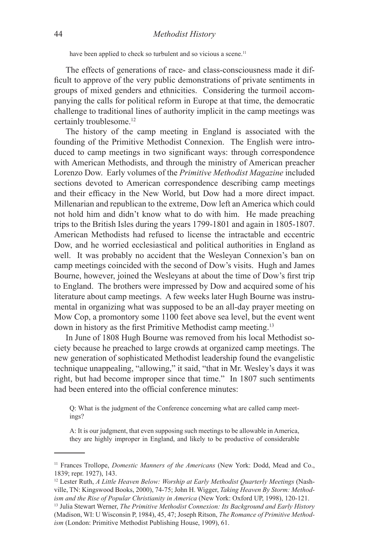have been applied to check so turbulent and so vicious a scene.<sup>11</sup>

The effects of generations of race- and class-consciousness made it difficult to approve of the very public demonstrations of private sentiments in groups of mixed genders and ethnicities. Considering the turmoil accompanying the calls for political reform in Europe at that time, the democratic challenge to traditional lines of authority implicit in the camp meetings was certainly troublesome.<sup>12</sup>

The history of the camp meeting in England is associated with the founding of the Primitive Methodist Connexion. The English were introduced to camp meetings in two significant ways: through correspondence with American Methodists, and through the ministry of American preacher Lorenzo Dow. Early volumes of the *Primitive Methodist Magazine* included sections devoted to American correspondence describing camp meetings and their efficacy in the New World, but Dow had a more direct impact. Millenarian and republican to the extreme, Dow left an America which could not hold him and didn't know what to do with him. He made preaching trips to the British Isles during the years 1799-1801 and again in 1805-1807. American Methodists had refused to license the intractable and eccentric Dow, and he worried ecclesiastical and political authorities in England as well. It was probably no accident that the Wesleyan Connexion's ban on camp meetings coincided with the second of Dow's visits. Hugh and James Bourne, however, joined the Wesleyans at about the time of Dow's first trip to England. The brothers were impressed by Dow and acquired some of his literature about camp meetings. A few weeks later Hugh Bourne was instrumental in organizing what was supposed to be an all-day prayer meeting on Mow Cop, a promontory some 1100 feet above sea level, but the event went down in history as the first Primitive Methodist camp meeting.<sup>13</sup>

In June of 1808 Hugh Bourne was removed from his local Methodist society because he preached to large crowds at organized camp meetings. The new generation of sophisticated Methodist leadership found the evangelistic technique unappealing, "allowing," it said, "that in Mr. Wesley's days it was right, but had become improper since that time." In 1807 such sentiments had been entered into the official conference minutes:

A: It is our judgment, that even supposing such meetings to be allowable in America, they are highly improper in England, and likely to be productive of considerable

Q: What is the judgment of the Conference concerning what are called camp meetings?

<sup>11</sup> Frances Trollope, *Domestic Manners of the Americans* (New York: Dodd, Mead and Co., 1839; repr. 1927), 143.

<sup>12</sup> Lester Ruth, *A Little Heaven Below: Worship at Early Methodist Quarterly Meetings* (Nashville, TN: Kingswood Books, 2000), 74-75; John H. Wigger, *Taking Heaven By Storm: Methodism and the Rise of Popular Christianity in America* (New York: Oxford UP, 1998), 120-121.

<sup>13</sup> Julia Stewart Werner, *The Primitive Methodist Connexion: Its Background and Early History*  (Madison, WI: U Wisconsin P, 1984), 45, 47; Joseph Ritson, *The Romance of Primitive Methodism* (London: Primitive Methodist Publishing House, 1909), 61.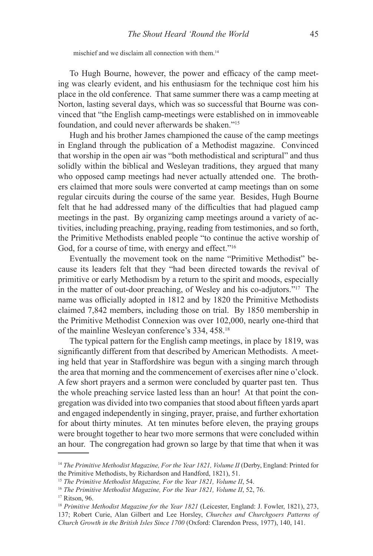mischief and we disclaim all connection with them.14

To Hugh Bourne, however, the power and efficacy of the camp meeting was clearly evident, and his enthusiasm for the technique cost him his place in the old conference. That same summer there was a camp meeting at Norton, lasting several days, which was so successful that Bourne was convinced that "the English camp-meetings were established on in immoveable foundation, and could never afterwards be shaken."15

Hugh and his brother James championed the cause of the camp meetings in England through the publication of a Methodist magazine. Convinced that worship in the open air was "both methodistical and scriptural" and thus solidly within the biblical and Wesleyan traditions, they argued that many who opposed camp meetings had never actually attended one. The brothers claimed that more souls were converted at camp meetings than on some regular circuits during the course of the same year. Besides, Hugh Bourne felt that he had addressed many of the difficulties that had plagued camp meetings in the past. By organizing camp meetings around a variety of activities, including preaching, praying, reading from testimonies, and so forth, the Primitive Methodists enabled people "to continue the active worship of God, for a course of time, with energy and effect."<sup>16</sup>

Eventually the movement took on the name "Primitive Methodist" because its leaders felt that they "had been directed towards the revival of primitive or early Methodism by a return to the spirit and moods, especially in the matter of out-door preaching, of Wesley and his co-adjutors."17 The name was officially adopted in 1812 and by 1820 the Primitive Methodists claimed 7,842 members, including those on trial. By 1850 membership in the Primitive Methodist Connexion was over 102,000, nearly one-third that of the mainline Wesleyan conference's 334, 458.18

The typical pattern for the English camp meetings, in place by 1819, was significantly different from that described by American Methodists. A meeting held that year in Staffordshire was begun with a singing march through the area that morning and the commencement of exercises after nine o'clock. A few short prayers and a sermon were concluded by quarter past ten. Thus the whole preaching service lasted less than an hour! At that point the congregation was divided into two companies that stood about fifteen yards apart and engaged independently in singing, prayer, praise, and further exhortation for about thirty minutes. At ten minutes before eleven, the praying groups were brought together to hear two more sermons that were concluded within an hour. The congregation had grown so large by that time that when it was

<sup>&</sup>lt;sup>14</sup> *The Primitive Methodist Magazine, For the Year 1821, Volume II* (Derby, England: Printed for the Primitive Methodists, by Richardson and Handford, 1821), 51.

<sup>&</sup>lt;sup>15</sup> The Primitive Methodist Magazine, For the Year 1821, Volume II, 54.

<sup>&</sup>lt;sup>16</sup> The Primitive Methodist Magazine, For the Year 1821, Volume II, 52, 76.

<sup>17</sup> Ritson, 96.

<sup>18</sup> *Primitive Methodist Magazine for the Year 1821* (Leicester, England: J. Fowler, 1821), 273, 137; Robert Curie, Alan Gilbert and Lee Horsley, *Churches and Churchgoers Patterns of Church Growth in the British Isles Since 1700* (Oxford: Clarendon Press, 1977), 140, 141.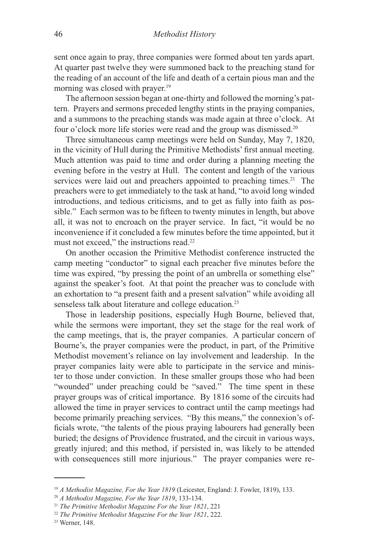sent once again to pray, three companies were formed about ten yards apart. At quarter past twelve they were summoned back to the preaching stand for the reading of an account of the life and death of a certain pious man and the morning was closed with prayer.<sup>19</sup>

The afternoon session began at one-thirty and followed the morning's pattern. Prayers and sermons preceded lengthy stints in the praying companies, and a summons to the preaching stands was made again at three o'clock. At four o'clock more life stories were read and the group was dismissed.20

Three simultaneous camp meetings were held on Sunday, May 7, 1820, in the vicinity of Hull during the Primitive Methodists' first annual meeting. Much attention was paid to time and order during a planning meeting the evening before in the vestry at Hull. The content and length of the various services were laid out and preachers appointed to preaching times.<sup>21</sup> The preachers were to get immediately to the task at hand, "to avoid long winded introductions, and tedious criticisms, and to get as fully into faith as possible." Each sermon was to be fifteen to twenty minutes in length, but above all, it was not to encroach on the prayer service. In fact, "it would be no inconvenience if it concluded a few minutes before the time appointed, but it must not exceed," the instructions read.<sup>22</sup>

On another occasion the Primitive Methodist conference instructed the camp meeting "conductor" to signal each preacher five minutes before the time was expired, "by pressing the point of an umbrella or something else" against the speaker's foot. At that point the preacher was to conclude with an exhortation to "a present faith and a present salvation" while avoiding all senseless talk about literature and college education.<sup>23</sup>

Those in leadership positions, especially Hugh Bourne, believed that, while the sermons were important, they set the stage for the real work of the camp meetings, that is, the prayer companies. A particular concern of Bourne's, the prayer companies were the product, in part, of the Primitive Methodist movement's reliance on lay involvement and leadership. In the prayer companies laity were able to participate in the service and minister to those under conviction. In these smaller groups those who had been "wounded" under preaching could be "saved." The time spent in these prayer groups was of critical importance. By 1816 some of the circuits had allowed the time in prayer services to contract until the camp meetings had become primarily preaching services. "By this means," the connexion's officials wrote, "the talents of the pious praying labourers had generally been buried; the designs of Providence frustrated, and the circuit in various ways, greatly injured; and this method, if persisted in, was likely to be attended with consequences still more injurious." The prayer companies were re-

<sup>19</sup> *A Methodist Magazine, For the Year 1819* (Leicester, England: J. Fowler, 1819), 133.

<sup>20</sup> *A Methodist Magazine, For the Year 1819*, 133-134.

<sup>21</sup> *The Primitive Methodist Magazine For the Year 1821*, 221

<sup>22</sup> *The Primitive Methodist Magazine For the Year 1821*, 222.

<sup>23</sup> Werner, 148.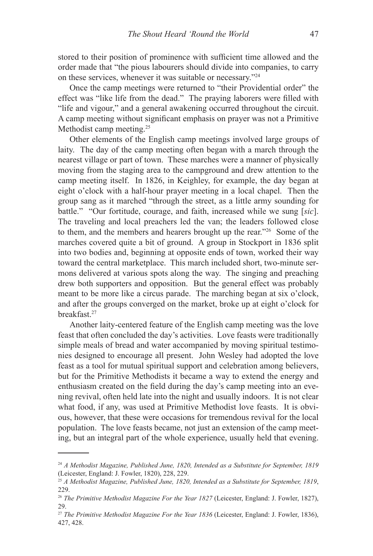stored to their position of prominence with sufficient time allowed and the order made that "the pious labourers should divide into companies, to carry on these services, whenever it was suitable or necessary."24

Once the camp meetings were returned to "their Providential order" the effect was "like life from the dead." The praying laborers were filled with "life and vigour," and a general awakening occurred throughout the circuit. A camp meeting without significant emphasis on prayer was not a Primitive Methodist camp meeting.<sup>25</sup>

Other elements of the English camp meetings involved large groups of laity. The day of the camp meeting often began with a march through the nearest village or part of town. These marches were a manner of physically moving from the staging area to the campground and drew attention to the camp meeting itself. In 1826, in Keighley, for example, the day began at eight o'clock with a half-hour prayer meeting in a local chapel. Then the group sang as it marched "through the street, as a little army sounding for battle." "Our fortitude, courage, and faith, increased while we sung [*sic*]. The traveling and local preachers led the van; the leaders followed close to them, and the members and hearers brought up the rear."26 Some of the marches covered quite a bit of ground. A group in Stockport in 1836 split into two bodies and, beginning at opposite ends of town, worked their way toward the central marketplace. This march included short, two-minute sermons delivered at various spots along the way. The singing and preaching drew both supporters and opposition. But the general effect was probably meant to be more like a circus parade. The marching began at six o'clock, and after the groups converged on the market, broke up at eight o'clock for breakfast<sup>27</sup>

Another laity-centered feature of the English camp meeting was the love feast that often concluded the day's activities. Love feasts were traditionally simple meals of bread and water accompanied by moving spiritual testimonies designed to encourage all present. John Wesley had adopted the love feast as a tool for mutual spiritual support and celebration among believers, but for the Primitive Methodists it became a way to extend the energy and enthusiasm created on the field during the day's camp meeting into an evening revival, often held late into the night and usually indoors. It is not clear what food, if any, was used at Primitive Methodist love feasts. It is obvious, however, that these were occasions for tremendous revival for the local population. The love feasts became, not just an extension of the camp meeting, but an integral part of the whole experience, usually held that evening.

<sup>24</sup> *A Methodist Magazine, Published June, 1820, Intended as a Substitute for September, 1819*  (Leicester, England: J. Fowler, 1820), 228, 229.

<sup>25</sup> *A Methodist Magazine, Published June, 1820, Intended as a Substitute for September, 1819*, 229.

<sup>26</sup> *The Primitive Methodist Magazine For the Year 1827* (Leicester, England: J. Fowler, 1827), 29.

<sup>27</sup> *The Primitive Methodist Magazine For the Year 1836* (Leicester, England: J. Fowler, 1836), 427, 428.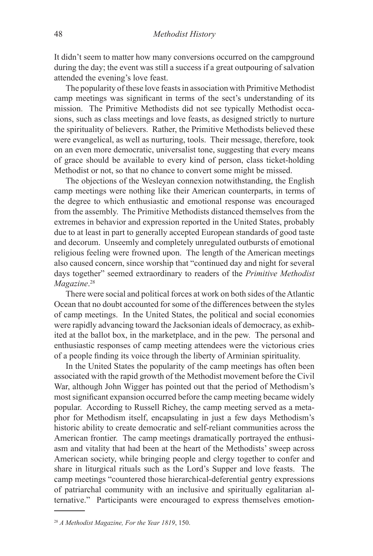It didn't seem to matter how many conversions occurred on the campground during the day; the event was still a success if a great outpouring of salvation attended the evening's love feast.

The popularity of these love feasts in association with Primitive Methodist camp meetings was significant in terms of the sect's understanding of its mission. The Primitive Methodists did not see typically Methodist occasions, such as class meetings and love feasts, as designed strictly to nurture the spirituality of believers. Rather, the Primitive Methodists believed these were evangelical, as well as nurturing, tools. Their message, therefore, took on an even more democratic, universalist tone, suggesting that every means of grace should be available to every kind of person, class ticket-holding Methodist or not, so that no chance to convert some might be missed.

The objections of the Wesleyan connexion notwithstanding, the English camp meetings were nothing like their American counterparts, in terms of the degree to which enthusiastic and emotional response was encouraged from the assembly. The Primitive Methodists distanced themselves from the extremes in behavior and expression reported in the United States, probably due to at least in part to generally accepted European standards of good taste and decorum. Unseemly and completely unregulated outbursts of emotional religious feeling were frowned upon. The length of the American meetings also caused concern, since worship that "continued day and night for several days together" seemed extraordinary to readers of the *Primitive Methodist Magazine*. 28

There were social and political forces at work on both sides of the Atlantic Ocean that no doubt accounted for some of the differences between the styles of camp meetings. In the United States, the political and social economies were rapidly advancing toward the Jacksonian ideals of democracy, as exhibited at the ballot box, in the marketplace, and in the pew. The personal and enthusiastic responses of camp meeting attendees were the victorious cries of a people finding its voice through the liberty of Arminian spirituality.

In the United States the popularity of the camp meetings has often been associated with the rapid growth of the Methodist movement before the Civil War, although John Wigger has pointed out that the period of Methodism's most significant expansion occurred before the camp meeting became widely popular. According to Russell Richey, the camp meeting served as a metaphor for Methodism itself, encapsulating in just a few days Methodism's historic ability to create democratic and self-reliant communities across the American frontier. The camp meetings dramatically portrayed the enthusiasm and vitality that had been at the heart of the Methodists' sweep across American society, while bringing people and clergy together to confer and share in liturgical rituals such as the Lord's Supper and love feasts. The camp meetings "countered those hierarchical-deferential gentry expressions of patriarchal community with an inclusive and spiritually egalitarian alternative." Participants were encouraged to express themselves emotion-

<sup>28</sup> *A Methodist Magazine, For the Year 1819*, 150.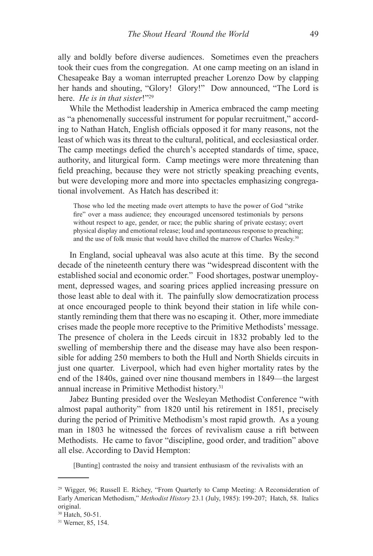ally and boldly before diverse audiences. Sometimes even the preachers took their cues from the congregation. At one camp meeting on an island in Chesapeake Bay a woman interrupted preacher Lorenzo Dow by clapping her hands and shouting, "Glory! Glory!" Dow announced, "The Lord is here. *He is in that sister*!"29

While the Methodist leadership in America embraced the camp meeting as "a phenomenally successful instrument for popular recruitment," according to Nathan Hatch, English officials opposed it for many reasons, not the least of which was its threat to the cultural, political, and ecclesiastical order. The camp meetings defied the church's accepted standards of time, space, authority, and liturgical form. Camp meetings were more threatening than field preaching, because they were not strictly speaking preaching events, but were developing more and more into spectacles emphasizing congregational involvement. As Hatch has described it:

Those who led the meeting made overt attempts to have the power of God "strike fire" over a mass audience; they encouraged uncensored testimonials by persons without respect to age, gender, or race; the public sharing of private ecstasy; overt physical display and emotional release; loud and spontaneous response to preaching; and the use of folk music that would have chilled the marrow of Charles Wesley.30

In England, social upheaval was also acute at this time. By the second decade of the nineteenth century there was "widespread discontent with the established social and economic order." Food shortages, postwar unemployment, depressed wages, and soaring prices applied increasing pressure on those least able to deal with it. The painfully slow democratization process at once encouraged people to think beyond their station in life while constantly reminding them that there was no escaping it. Other, more immediate crises made the people more receptive to the Primitive Methodists' message. The presence of cholera in the Leeds circuit in 1832 probably led to the swelling of membership there and the disease may have also been responsible for adding 250 members to both the Hull and North Shields circuits in just one quarter. Liverpool, which had even higher mortality rates by the end of the 1840s, gained over nine thousand members in 1849—the largest annual increase in Primitive Methodist history.<sup>31</sup>

Jabez Bunting presided over the Wesleyan Methodist Conference "with almost papal authority" from 1820 until his retirement in 1851, precisely during the period of Primitive Methodism's most rapid growth. As a young man in 1803 he witnessed the forces of revivalism cause a rift between Methodists. He came to favor "discipline, good order, and tradition" above all else. According to David Hempton:

[Bunting] contrasted the noisy and transient enthusiasm of the revivalists with an

<sup>29</sup> Wigger, 96; Russell E. Richey, "From Quarterly to Camp Meeting: A Reconsideration of Early American Methodism," *Methodist History* 23.1 (July, 1985): 199-207; Hatch, 58. Italics original.

<sup>30</sup> Hatch, 50-51.

<sup>31</sup> Werner, 85, 154.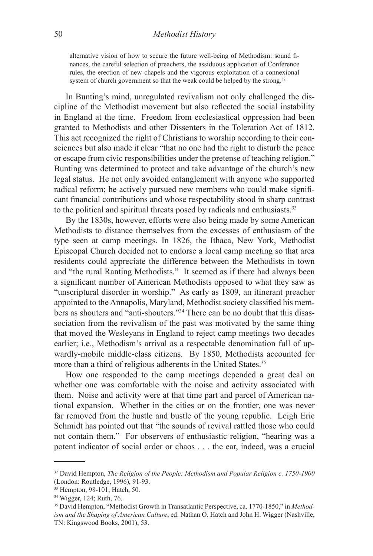## 50 *Methodist History*

alternative vision of how to secure the future well-being of Methodism: sound finances, the careful selection of preachers, the assiduous application of Conference rules, the erection of new chapels and the vigorous exploitation of a connexional system of church government so that the weak could be helped by the strong.<sup>32</sup>

In Bunting's mind, unregulated revivalism not only challenged the discipline of the Methodist movement but also reflected the social instability in England at the time. Freedom from ecclesiastical oppression had been granted to Methodists and other Dissenters in the Toleration Act of 1812. This act recognized the right of Christians to worship according to their consciences but also made it clear "that no one had the right to disturb the peace or escape from civic responsibilities under the pretense of teaching religion." Bunting was determined to protect and take advantage of the church's new legal status. He not only avoided entanglement with anyone who supported radical reform; he actively pursued new members who could make significant financial contributions and whose respectability stood in sharp contrast to the political and spiritual threats posed by radicals and enthusiasts.<sup>33</sup>

By the 1830s, however, efforts were also being made by some American Methodists to distance themselves from the excesses of enthusiasm of the type seen at camp meetings. In 1826, the Ithaca, New York, Methodist Episcopal Church decided not to endorse a local camp meeting so that area residents could appreciate the difference between the Methodists in town and "the rural Ranting Methodists." It seemed as if there had always been a significant number of American Methodists opposed to what they saw as "unscriptural disorder in worship." As early as 1809, an itinerant preacher appointed to the Annapolis, Maryland, Methodist society classified his members as shouters and "anti-shouters."34 There can be no doubt that this disassociation from the revivalism of the past was motivated by the same thing that moved the Wesleyans in England to reject camp meetings two decades earlier; i.e., Methodism's arrival as a respectable denomination full of upwardly-mobile middle-class citizens. By 1850, Methodists accounted for more than a third of religious adherents in the United States.<sup>35</sup>

How one responded to the camp meetings depended a great deal on whether one was comfortable with the noise and activity associated with them. Noise and activity were at that time part and parcel of American national expansion. Whether in the cities or on the frontier, one was never far removed from the hustle and bustle of the young republic. Leigh Eric Schmidt has pointed out that "the sounds of revival rattled those who could not contain them." For observers of enthusiastic religion, "hearing was a potent indicator of social order or chaos . . . the ear, indeed, was a crucial

<sup>32</sup> David Hempton, *The Religion of the People: Methodism and Popular Religion c. 1750-1900*  (London: Routledge, 1996), 91-93.

<sup>33</sup> Hempton, 98-101; Hatch, 50.

<sup>34</sup> Wigger, 124; Ruth, 76.

<sup>35</sup> David Hempton, "Methodist Growth in Transatlantic Perspective, ca. 1770-1850," in *Methodism and the Shaping of American Culture*, ed. Nathan O. Hatch and John H. Wigger (Nashville, TN: Kingswood Books, 2001), 53.